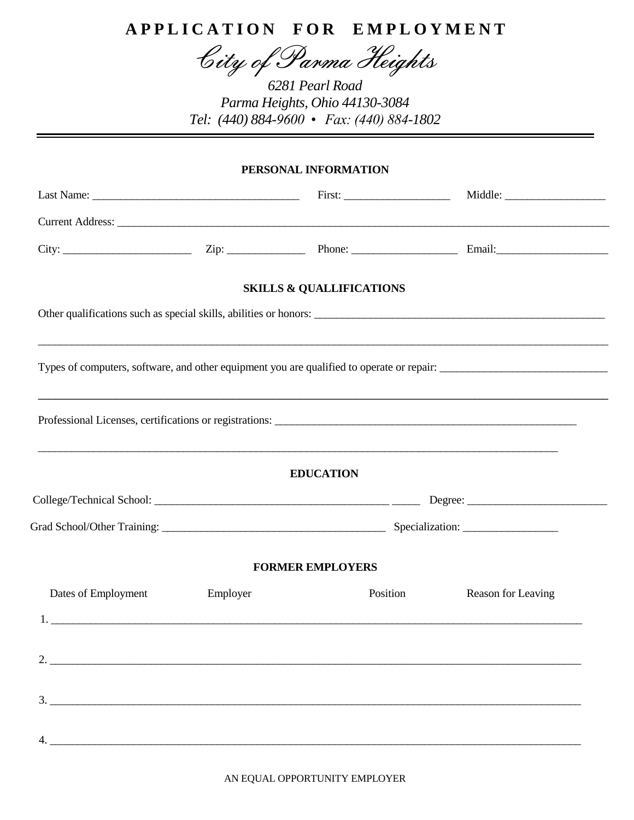## **A P P L I C A T I O N F O R E M P L O Y M E N T**

City of Parma Heights

*6281 Pearl Road Parma Heights, Ohio 44130-3084 Tel: (440) 884-9600 • Fax: (440) 884-1802*

## **PERSONAL INFORMATION**

|                     |          | <b>SKILLS &amp; QUALLIFICATIONS</b>                                                                                                                                                                                                                                                                                                                                                                                                                                    |                    |
|---------------------|----------|------------------------------------------------------------------------------------------------------------------------------------------------------------------------------------------------------------------------------------------------------------------------------------------------------------------------------------------------------------------------------------------------------------------------------------------------------------------------|--------------------|
|                     |          | Other qualifications such as special skills, abilities or honors:                                                                                                                                                                                                                                                                                                                                                                                                      |                    |
|                     |          |                                                                                                                                                                                                                                                                                                                                                                                                                                                                        |                    |
|                     |          |                                                                                                                                                                                                                                                                                                                                                                                                                                                                        |                    |
|                     |          | ,我们也不能会在这里,我们也不能会在这里,我们也不能会在这里,我们也不能会在这里,我们也不能会在这里,我们也不能会在这里,我们也不能会在这里,我们也不能会不能会<br><b>EDUCATION</b>                                                                                                                                                                                                                                                                                                                                                                   |                    |
|                     |          |                                                                                                                                                                                                                                                                                                                                                                                                                                                                        |                    |
|                     |          |                                                                                                                                                                                                                                                                                                                                                                                                                                                                        |                    |
|                     |          | <b>FORMER EMPLOYERS</b>                                                                                                                                                                                                                                                                                                                                                                                                                                                |                    |
| Dates of Employment | Employer | Position                                                                                                                                                                                                                                                                                                                                                                                                                                                               | Reason for Leaving |
|                     |          | $1.$ $\overline{\phantom{a}}$ $\overline{\phantom{a}}$ $\overline{\phantom{a}}$ $\overline{\phantom{a}}$ $\overline{\phantom{a}}$ $\overline{\phantom{a}}$ $\overline{\phantom{a}}$ $\overline{\phantom{a}}$ $\overline{\phantom{a}}$ $\overline{\phantom{a}}$ $\overline{\phantom{a}}$ $\overline{\phantom{a}}$ $\overline{\phantom{a}}$ $\overline{\phantom{a}}$ $\overline{\phantom{a}}$ $\overline{\phantom{a}}$ $\overline{\phantom{a}}$ $\overline{\phantom{a}}$ |                    |
|                     |          |                                                                                                                                                                                                                                                                                                                                                                                                                                                                        |                    |
|                     |          |                                                                                                                                                                                                                                                                                                                                                                                                                                                                        |                    |
| $\frac{3}{2}$       |          |                                                                                                                                                                                                                                                                                                                                                                                                                                                                        |                    |
|                     |          |                                                                                                                                                                                                                                                                                                                                                                                                                                                                        |                    |